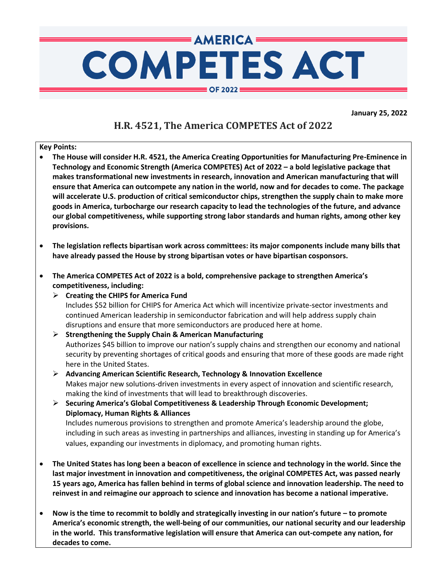**January 25, 2022**

# **H.R. 4521, The America COMPETES Act of 2022**

**AMERICA:** 

**COMPETES ACT** 

OF 2022 ≡

#### **Key Points:**

- **The House will consider H.R. 4521, the America Creating Opportunities for Manufacturing Pre-Eminence in Technology and Economic Strength (America COMPETES) Act of 2022 – a bold legislative package that makes transformational new investments in research, innovation and American manufacturing that will ensure that America can outcompete any nation in the world, now and for decades to come. The package will accelerate U.S. production of critical semiconductor chips, strengthen the supply chain to make more goods in America, turbocharge our research capacity to lead the technologies of the future, and advance our global competitiveness, while supporting strong labor standards and human rights, among other key provisions.**
- **The legislation reflects bipartisan work across committees: its major components include many bills that have already passed the House by strong bipartisan votes or have bipartisan cosponsors.**
- **The America COMPETES Act of 2022 is a bold, comprehensive package to strengthen America's competitiveness, including:** 
	- ➢ **Creating the CHIPS for America Fund** Includes \$52 billion for CHIPS for America Act which will incentivize private-sector investments and continued American leadership in semiconductor fabrication and will help address supply chain disruptions and ensure that more semiconductors are produced here at home.
	- ➢ **Strengthening the Supply Chain & American Manufacturing** Authorizes \$45 billion to improve our nation's supply chains and strengthen our economy and national security by preventing shortages of critical goods and ensuring that more of these goods are made right here in the United States.
	- ➢ **Advancing American Scientific Research, Technology & Innovation Excellence** Makes major new solutions-driven investments in every aspect of innovation and scientific research, making the kind of investments that will lead to breakthrough discoveries.
	- ➢ **Securing America's Global Competitiveness & Leadership Through Economic Development; Diplomacy, Human Rights & Alliances** Includes numerous provisions to strengthen and promote America's leadership around the globe, including in such areas as investing in partnerships and alliances, investing in standing up for America's

values, expanding our investments in diplomacy, and promoting human rights.

- **The United States has long been a beacon of excellence in science and technology in the world. Since the last major investment in innovation and competitiveness, the original COMPETES Act, was passed nearly 15 years ago, America has fallen behind in terms of global science and innovation leadership. The need to reinvest in and reimagine our approach to science and innovation has become a national imperative.**
- **Now is the time to recommit to boldly and strategically investing in our nation's future – to promote America's economic strength, the well-being of our communities, our national security and our leadership in the world. This transformative legislation will ensure that America can out-compete any nation, for decades to come.**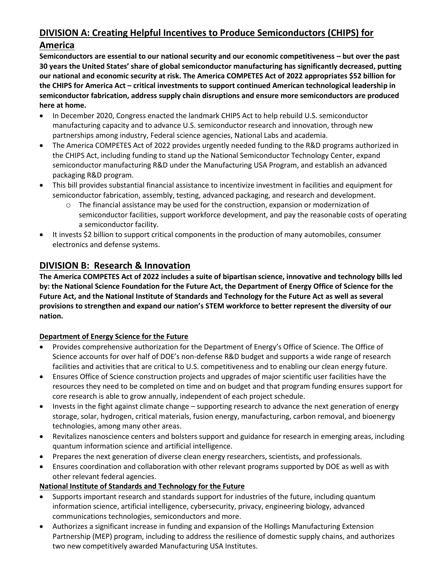# **DIVISION A: Creating Helpful Incentives to Produce Semiconductors (CHIPS) for**

# **America**

**Semiconductors are essential to our national security and our economic competitiveness – but over the past 30 years the United States' share of global semiconductor manufacturing has significantly decreased, putting our national and economic security at risk. The America COMPETES Act of 2022 appropriates \$52 billion for the CHIPS for America Act – critical investments to support continued American technological leadership in semiconductor fabrication, address supply chain disruptions and ensure more semiconductors are produced here at home.** 

- In December 2020, Congress enacted the landmark CHIPS Act to help rebuild U.S. semiconductor manufacturing capacity and to advance U.S. semiconductor research and innovation, through new partnerships among industry, Federal science agencies, National Labs and academia.
- The America COMPETES Act of 2022 provides urgently needed funding to the R&D programs authorized in the CHIPS Act, including funding to stand up the National Semiconductor Technology Center, expand semiconductor manufacturing R&D under the Manufacturing USA Program, and establish an advanced packaging R&D program.
- This bill provides substantial financial assistance to incentivize investment in facilities and equipment for semiconductor fabrication, assembly, testing, advanced packaging, and research and development.
	- $\circ$  The financial assistance may be used for the construction, expansion or modernization of semiconductor facilities, support workforce development, and pay the reasonable costs of operating a semiconductor facility.
- It invests \$2 billion to support critical components in the production of many automobiles, consumer electronics and defense systems.

# **DIVISION B: Research & Innovation**

**The America COMPETES Act of 2022 includes a suite of bipartisan science, innovative and technology bills led by: the National Science Foundation for the Future Act, the Department of Energy Office of Science for the Future Act, and the National Institute of Standards and Technology for the Future Act as well as several provisions to strengthen and expand our nation's STEM workforce to better represent the diversity of our nation.** 

### **Department of Energy Science for the Future**

- Provides comprehensive authorization for the Department of Energy's Office of Science. The Office of Science accounts for over half of DOE's non-defense R&D budget and supports a wide range of research facilities and activities that are critical to U.S. competitiveness and to enabling our clean energy future.
- Ensures Office of Science construction projects and upgrades of major scientific user facilities have the resources they need to be completed on time and on budget and that program funding ensures support for core research is able to grow annually, independent of each project schedule.
- Invests in the fight against climate change supporting research to advance the next generation of energy storage, solar, hydrogen, critical materials, fusion energy, manufacturing, carbon removal, and bioenergy technologies, among many other areas.
- Revitalizes nanoscience centers and bolsters support and guidance for research in emerging areas, including quantum information science and artificial intelligence.
- Prepares the next generation of diverse clean energy researchers, scientists, and professionals.
- Ensures coordination and collaboration with other relevant programs supported by DOE as well as with other relevant federal agencies.

### **National Institute of Standards and Technology for the Future**

- Supports important research and standards support for industries of the future, including quantum information science, artificial intelligence, cybersecurity, privacy, engineering biology, advanced communications technologies, semiconductors and more.
- Authorizes a significant increase in funding and expansion of the Hollings Manufacturing Extension Partnership (MEP) program, including to address the resilience of domestic supply chains, and authorizes two new competitively awarded Manufacturing USA Institutes.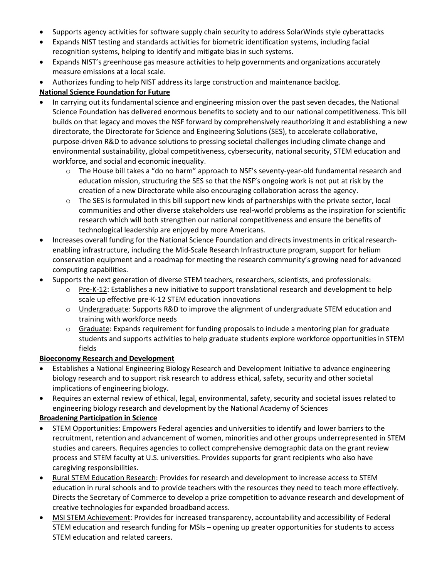- Supports agency activities for software supply chain security to address SolarWinds style cyberattacks
- Expands NIST testing and standards activities for biometric identification systems, including facial recognition systems, helping to identify and mitigate bias in such systems.
- Expands NIST's greenhouse gas measure activities to help governments and organizations accurately measure emissions at a local scale.
- Authorizes funding to help NIST address its large construction and maintenance backlog.

### **National Science Foundation for Future**

- In carrying out its fundamental science and engineering mission over the past seven decades, the National Science Foundation has delivered enormous benefits to society and to our national competitiveness. This bill builds on that legacy and moves the NSF forward by comprehensively reauthorizing it and establishing a new directorate, the Directorate for Science and Engineering Solutions (SES), to accelerate collaborative, purpose-driven R&D to advance solutions to pressing societal challenges including climate change and environmental sustainability, global competitiveness, cybersecurity, national security, STEM education and workforce, and social and economic inequality.
	- o The House bill takes a "do no harm" approach to NSF's seventy-year-old fundamental research and education mission, structuring the SES so that the NSF's ongoing work is not put at risk by the creation of a new Directorate while also encouraging collaboration across the agency.
	- $\circ$  The SES is formulated in this bill support new kinds of partnerships with the private sector, local communities and other diverse stakeholders use real-world problems as the inspiration for scientific research which will both strengthen our national competitiveness and ensure the benefits of technological leadership are enjoyed by more Americans.
- Increases overall funding for the National Science Foundation and directs investments in critical researchenabling infrastructure, including the Mid-Scale Research Infrastructure program, support for helium conservation equipment and a roadmap for meeting the research community's growing need for advanced computing capabilities.
- Supports the next generation of diverse STEM teachers, researchers, scientists, and professionals:
	- $\circ$  Pre-K-12: Establishes a new initiative to support translational research and development to help scale up effective pre-K-12 STEM education innovations
	- o Undergraduate: Supports R&D to improve the alignment of undergraduate STEM education and training with workforce needs
	- $\circ$  Graduate: Expands requirement for funding proposals to include a mentoring plan for graduate students and supports activities to help graduate students explore workforce opportunities in STEM fields

### **Bioeconomy Research and Development**

- Establishes a National Engineering Biology Research and Development Initiative to advance engineering biology research and to support risk research to address ethical, safety, security and other societal implications of engineering biology.
- Requires an external review of ethical, legal, environmental, safety, security and societal issues related to engineering biology research and development by the National Academy of Sciences

### **Broadening Participation in Science**

- STEM Opportunities: Empowers Federal agencies and universities to identify and lower barriers to the recruitment, retention and advancement of women, minorities and other groups underrepresented in STEM studies and careers. Requires agencies to collect comprehensive demographic data on the grant review process and STEM faculty at U.S. universities. Provides supports for grant recipients who also have caregiving responsibilities.
- Rural STEM Education Research: Provides for research and development to increase access to STEM education in rural schools and to provide teachers with the resources they need to teach more effectively. Directs the Secretary of Commerce to develop a prize competition to advance research and development of creative technologies for expanded broadband access.
- MSI STEM Achievement: Provides for increased transparency, accountability and accessibility of Federal STEM education and research funding for MSIs – opening up greater opportunities for students to access STEM education and related careers.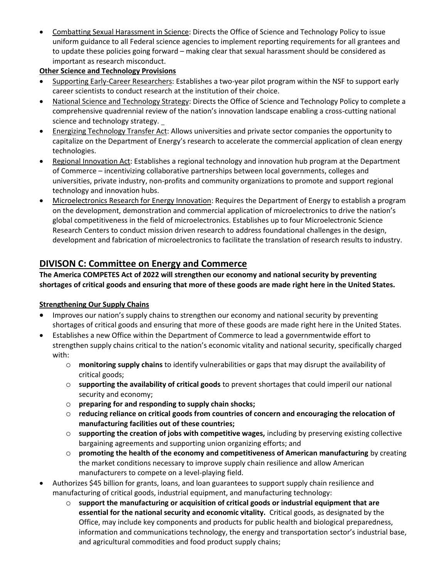• Combatting Sexual Harassment in Science: Directs the Office of Science and Technology Policy to issue uniform guidance to all Federal science agencies to implement reporting requirements for all grantees and to update these policies going forward – making clear that sexual harassment should be considered as important as research misconduct.

### **Other Science and Technology Provisions**

- Supporting Early-Career Researchers: Establishes a two-year pilot program within the NSF to support early career scientists to conduct research at the institution of their choice.
- National Science and Technology Strategy: Directs the Office of Science and Technology Policy to complete a comprehensive quadrennial review of the nation's innovation landscape enabling a cross-cutting national science and technology strategy.
- Energizing Technology Transfer Act: Allows universities and private sector companies the opportunity to capitalize on the Department of Energy's research to accelerate the commercial application of clean energy technologies.
- Regional Innovation Act: Establishes a regional technology and innovation hub program at the Department of Commerce – incentivizing collaborative partnerships between local governments, colleges and universities, private industry, non-profits and community organizations to promote and support regional technology and innovation hubs.
- Microelectronics Research for Energy Innovation: Requires the Department of Energy to establish a program on the development, demonstration and commercial application of microelectronics to drive the nation's global competitiveness in the field of microelectronics. Establishes up to four Microelectronic Science Research Centers to conduct mission driven research to address foundational challenges in the design, development and fabrication of microelectronics to facilitate the translation of research results to industry.

# **DIVISON C: Committee on Energy and Commerce**

**The America COMPETES Act of 2022 will strengthen our economy and national security by preventing shortages of critical goods and ensuring that more of these goods are made right here in the United States.**

### **Strengthening Our Supply Chains**

- Improves our nation's supply chains to strengthen our economy and national security by preventing shortages of critical goods and ensuring that more of these goods are made right here in the United States.
- Establishes a new Office within the Department of Commerce to lead a governmentwide effort to strengthen supply chains critical to the nation's economic vitality and national security, specifically charged with:
	- o **monitoring supply chains** to identify vulnerabilities or gaps that may disrupt the availability of critical goods;
	- o **supporting the availability of critical goods** to prevent shortages that could imperil our national security and economy;
	- o **preparing for and responding to supply chain shocks;**
	- o **reducing reliance on critical goods from countries of concern and encouraging the relocation of manufacturing facilities out of these countries;**
	- o **supporting the creation of jobs with competitive wages,** including by preserving existing collective bargaining agreements and supporting union organizing efforts; and
	- o **promoting the health of the economy and competitiveness of American manufacturing** by creating the market conditions necessary to improve supply chain resilience and allow American manufacturers to compete on a level-playing field.
- Authorizes \$45 billion for grants, loans, and loan guarantees to support supply chain resilience and manufacturing of critical goods, industrial equipment, and manufacturing technology:
	- o **support the manufacturing or acquisition of critical goods or industrial equipment that are essential for the national security and economic vitality.** Critical goods, as designated by the Office, may include key components and products for public health and biological preparedness, information and communications technology, the energy and transportation sector's industrial base, and agricultural commodities and food product supply chains;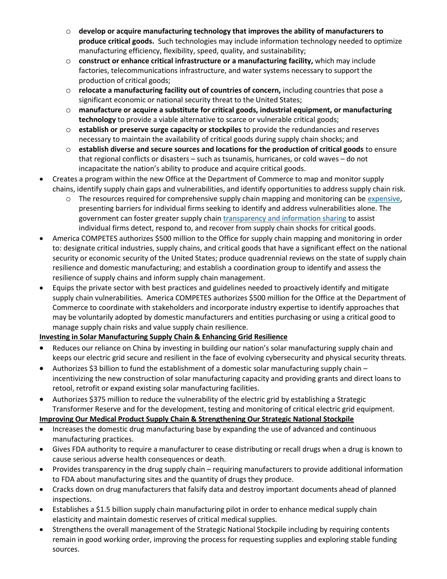- o **develop or acquire manufacturing technology that improves the ability of manufacturers to produce critical goods.** Such technologies may include information technology needed to optimize manufacturing efficiency, flexibility, speed, quality, and sustainability;
- o **construct or enhance critical infrastructure or a manufacturing facility,** which may include factories, telecommunications infrastructure, and water systems necessary to support the production of critical goods;
- o **relocate a manufacturing facility out of countries of concern,** including countries that pose a significant economic or national security threat to the United States;
- o **manufacture or acquire a substitute for critical goods, industrial equipment, or manufacturing technology** to provide a viable alternative to scarce or vulnerable critical goods;
- o **establish or preserve surge capacity or stockpiles** to provide the redundancies and reserves necessary to maintain the availability of critical goods during supply chain shocks; and
- o **establish diverse and secure sources and locations for the production of critical goods** to ensure that regional conflicts or disasters – such as tsunamis, hurricanes, or cold waves – do not incapacitate the nation's ability to produce and acquire critical goods.
- Creates a program within the new Office at the Department of Commerce to map and monitor supply chains, identify supply chain gaps and vulnerabilities, and identify opportunities to address supply chain risk.
	- $\circ$  The resources required for comprehensive supply chain mapping and monitoring can b[e expensive,](https://hbr.org/2020/03/coronavirus-is-a-wake-up-call-for-supply-chain-management) presenting barriers for individual firms seeking to identify and address vulnerabilities alone. The government can foster greater supply chai[n transparency and information sharing](https://www.whitehouse.gov/briefing-room/statements-releases/2021/10/31/chairs-statement-on-principles-for-supply-chain-resilience/) to assist individual firms detect, respond to, and recover from supply chain shocks for critical goods.
- America COMPETES authorizes \$500 million to the Office for supply chain mapping and monitoring in order to: designate critical industries, supply chains, and critical goods that have a significant effect on the national security or economic security of the United States; produce quadrennial reviews on the state of supply chain resilience and domestic manufacturing; and establish a coordination group to identify and assess the resilience of supply chains and inform supply chain management.
- Equips the private sector with best practices and guidelines needed to proactively identify and mitigate supply chain vulnerabilities. America COMPETES authorizes \$500 million for the Office at the Department of Commerce to coordinate with stakeholders and incorporate industry expertise to identify approaches that may be voluntarily adopted by domestic manufacturers and entities purchasing or using a critical good to manage supply chain risks and value supply chain resilience.

### **Investing in Solar Manufacturing Supply Chain & Enhancing Grid Resilience**

- Reduces our reliance on China by investing in building our nation's solar manufacturing supply chain and keeps our electric grid secure and resilient in the face of evolving cybersecurity and physical security threats.
- Authorizes \$3 billion to fund the establishment of a domestic solar manufacturing supply chain incentivizing the new construction of solar manufacturing capacity and providing grants and direct loans to retool, retrofit or expand existing solar manufacturing facilities.
- Authorizes \$375 million to reduce the vulnerability of the electric grid by establishing a Strategic Transformer Reserve and for the development, testing and monitoring of critical electric grid equipment.

### **Improving Our Medical Product Supply Chain & Strengthening Our Strategic National Stockpile**

- Increases the domestic drug manufacturing base by expanding the use of advanced and continuous manufacturing practices.
- Gives FDA authority to require a manufacturer to cease distributing or recall drugs when a drug is known to cause serious adverse health consequences or death.
- Provides transparency in the drug supply chain requiring manufacturers to provide additional information to FDA about manufacturing sites and the quantity of drugs they produce.
- Cracks down on drug manufacturers that falsify data and destroy important documents ahead of planned inspections.
- Establishes a \$1.5 billion supply chain manufacturing pilot in order to enhance medical supply chain elasticity and maintain domestic reserves of critical medical supplies.
- Strengthens the overall management of the Strategic National Stockpile including by requiring contents remain in good working order, improving the process for requesting supplies and exploring stable funding sources.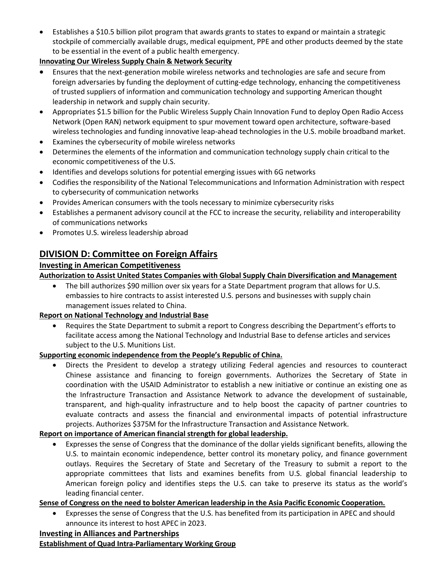• Establishes a \$10.5 billion pilot program that awards grants to states to expand or maintain a strategic stockpile of commercially available drugs, medical equipment, PPE and other products deemed by the state to be essential in the event of a public health emergency.

### **Innovating Our Wireless Supply Chain & Network Security**

- Ensures that the next-generation mobile wireless networks and technologies are safe and secure from foreign adversaries by funding the deployment of cutting-edge technology, enhancing the competitiveness of trusted suppliers of information and communication technology and supporting American thought leadership in network and supply chain security.
- Appropriates \$1.5 billion for the Public Wireless Supply Chain Innovation Fund to deploy Open Radio Access Network (Open RAN) network equipment to spur movement toward open architecture, software-based wireless technologies and funding innovative leap-ahead technologies in the U.S. mobile broadband market.
- Examines the cybersecurity of mobile wireless networks
- Determines the elements of the information and communication technology supply chain critical to the economic competitiveness of the U.S.
- Identifies and develops solutions for potential emerging issues with 6G networks
- Codifies the responsibility of the National Telecommunications and Information Administration with respect to cybersecurity of communication networks
- Provides American consumers with the tools necessary to minimize cybersecurity risks
- Establishes a permanent advisory council at the FCC to increase the security, reliability and interoperability of communications networks
- Promotes U.S. wireless leadership abroad

# **DIVISION D: Committee on Foreign Affairs**

# **Investing in American Competitiveness**

## **Authorization to Assist United States Companies with Global Supply Chain Diversification and Management**

• The bill authorizes \$90 million over six years for a State Department program that allows for U.S. embassies to hire contracts to assist interested U.S. persons and businesses with supply chain management issues related to China.

### **Report on National Technology and Industrial Base**

• Requires the State Department to submit a report to Congress describing the Department's efforts to facilitate access among the National Technology and Industrial Base to defense articles and services subject to the U.S. Munitions List.

### **Supporting economic independence from the People's Republic of China.**

• Directs the President to develop a strategy utilizing Federal agencies and resources to counteract Chinese assistance and financing to foreign governments. Authorizes the Secretary of State in coordination with the USAID Administrator to establish a new initiative or continue an existing one as the Infrastructure Transaction and Assistance Network to advance the development of sustainable, transparent, and high-quality infrastructure and to help boost the capacity of partner countries to evaluate contracts and assess the financial and environmental impacts of potential infrastructure projects. Authorizes \$375M for the Infrastructure Transaction and Assistance Network.

### **Report on importance of American financial strength for global leadership.**

• Expresses the sense of Congress that the dominance of the dollar yields significant benefits, allowing the U.S. to maintain economic independence, better control its monetary policy, and finance government outlays. Requires the Secretary of State and Secretary of the Treasury to submit a report to the appropriate committees that lists and examines benefits from U.S. global financial leadership to American foreign policy and identifies steps the U.S. can take to preserve its status as the world's leading financial center.

### **Sense of Congress on the need to bolster American leadership in the Asia Pacific Economic Cooperation.**

• Expresses the sense of Congress that the U.S. has benefited from its participation in APEC and should announce its interest to host APEC in 2023.

# **Investing in Alliances and Partnerships**

**Establishment of Quad Intra-Parliamentary Working Group**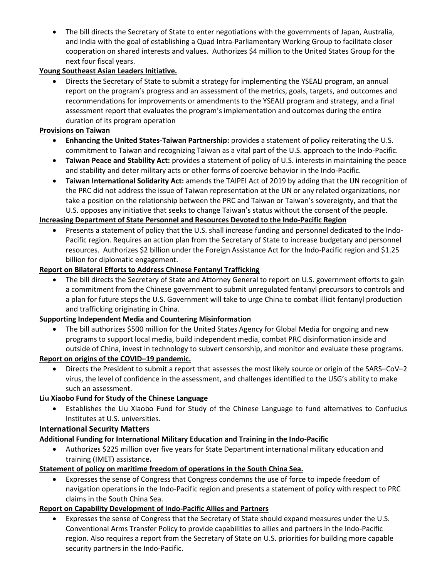• The bill directs the Secretary of State to enter negotiations with the governments of Japan, Australia, and India with the goal of establishing a Quad Intra-Parliamentary Working Group to facilitate closer cooperation on shared interests and values. Authorizes \$4 million to the United States Group for the next four fiscal years.

### **Young Southeast Asian Leaders Initiative.**

• Directs the Secretary of State to submit a strategy for implementing the YSEALI program, an annual report on the program's progress and an assessment of the metrics, goals, targets, and outcomes and recommendations for improvements or amendments to the YSEALI program and strategy, and a final assessment report that evaluates the program's implementation and outcomes during the entire duration of its program operation

### **Provisions on Taiwan**

- **Enhancing the United States-Taiwan Partnership:** provides a statement of policy reiterating the U.S. commitment to Taiwan and recognizing Taiwan as a vital part of the U.S. approach to the Indo-Pacific.
- **Taiwan Peace and Stability Act:** provides a statement of policy of U.S. interests in maintaining the peace and stability and deter military acts or other forms of coercive behavior in the Indo-Pacific.
- **Taiwan International Solidarity Act:** amends the TAIPEI Act of 2019 by adding that the UN recognition of the PRC did not address the issue of Taiwan representation at the UN or any related organizations, nor take a position on the relationship between the PRC and Taiwan or Taiwan's sovereignty, and that the U.S. opposes any initiative that seeks to change Taiwan's status without the consent of the people.

### **Increasing Department of State Personnel and Resources Devoted to the Indo-Pacific Region**

• Presents a statement of policy that the U.S. shall increase funding and personnel dedicated to the Indo-Pacific region. Requires an action plan from the Secretary of State to increase budgetary and personnel resources. Authorizes \$2 billion under the Foreign Assistance Act for the Indo-Pacific region and \$1.25 billion for diplomatic engagement.

## **Report on Bilateral Efforts to Address Chinese Fentanyl Trafficking**

The bill directs the Secretary of State and Attorney General to report on U.S. government efforts to gain a commitment from the Chinese government to submit unregulated fentanyl precursors to controls and a plan for future steps the U.S. Government will take to urge China to combat illicit fentanyl production and trafficking originating in China.

### **Supporting Independent Media and Countering Misinformation**

• The bill authorizes \$500 million for the United States Agency for Global Media for ongoing and new programs to support local media, build independent media, combat PRC disinformation inside and outside of China, invest in technology to subvert censorship, and monitor and evaluate these programs.

### **Report on origins of the COVID–19 pandemic.**

• Directs the President to submit a report that assesses the most likely source or origin of the SARS–CoV–2 virus, the level of confidence in the assessment, and challenges identified to the USG's ability to make such an assessment.

# **Liu Xiaobo Fund for Study of the Chinese Language**

• Establishes the Liu Xiaobo Fund for Study of the Chinese Language to fund alternatives to Confucius Institutes at U.S. universities.

# **International Security Matters**

# **Additional Funding for International Military Education and Training in the Indo-Pacific**

• Authorizes \$225 million over five years for State Department international military education and training (IMET) assistance**.**

### **Statement of policy on maritime freedom of operations in the South China Sea.**

• Expresses the sense of Congress that Congress condemns the use of force to impede freedom of navigation operations in the Indo-Pacific region and presents a statement of policy with respect to PRC claims in the South China Sea.

# **Report on Capability Development of Indo-Pacific Allies and Partners**

• Expresses the sense of Congress that the Secretary of State should expand measures under the U.S. Conventional Arms Transfer Policy to provide capabilities to allies and partners in the Indo-Pacific region. Also requires a report from the Secretary of State on U.S. priorities for building more capable security partners in the Indo-Pacific.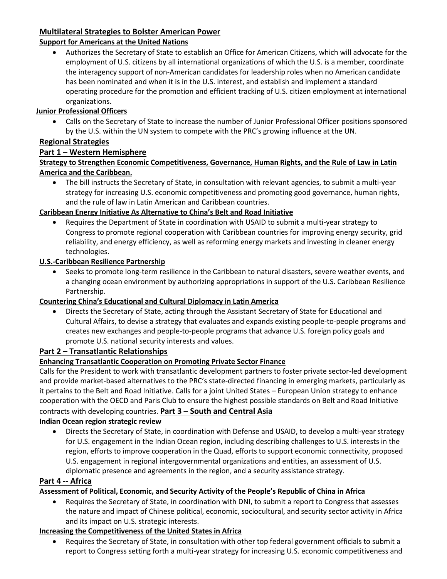## **Multilateral Strategies to Bolster American Power**

### **Support for Americans at the United Nations**

• Authorizes the Secretary of State to establish an Office for American Citizens, which will advocate for the employment of U.S. citizens by all international organizations of which the U.S. is a member, coordinate the interagency support of non-American candidates for leadership roles when no American candidate has been nominated and when it is in the U.S. interest, and establish and implement a standard operating procedure for the promotion and efficient tracking of U.S. citizen employment at international organizations.

### **Junior Professional Officers**

• Calls on the Secretary of State to increase the number of Junior Professional Officer positions sponsored by the U.S. within the UN system to compete with the PRC's growing influence at the UN.

### **Regional Strategies**

### **Part 1 – Western Hemisphere**

**Strategy to Strengthen Economic Competitiveness, Governance, Human Rights, and the Rule of Law in Latin America and the Caribbean.**

• The bill instructs the Secretary of State, in consultation with relevant agencies, to submit a multi-year strategy for increasing U.S. economic competitiveness and promoting good governance, human rights, and the rule of law in Latin American and Caribbean countries.

### **Caribbean Energy Initiative As Alternative to China's Belt and Road Initiative**

• Requires the Department of State in coordination with USAID to submit a multi-year strategy to Congress to promote regional cooperation with Caribbean countries for improving energy security, grid reliability, and energy efficiency, as well as reforming energy markets and investing in cleaner energy technologies.

### **U.S.-Caribbean Resilience Partnership**

• Seeks to promote long-term resilience in the Caribbean to natural disasters, severe weather events, and a changing ocean environment by authorizing appropriations in support of the U.S. Caribbean Resilience Partnership.

### **Countering China's Educational and Cultural Diplomacy in Latin America**

• Directs the Secretary of State, acting through the Assistant Secretary of State for Educational and Cultural Affairs, to devise a strategy that evaluates and expands existing people-to-people programs and creates new exchanges and people-to-people programs that advance U.S. foreign policy goals and promote U.S. national security interests and values.

### **Part 2 – Transatlantic Relationships**

### **Enhancing Transatlantic Cooperation on Promoting Private Sector Finance**

Calls for the President to work with transatlantic development partners to foster private sector-led development and provide market-based alternatives to the PRC's state-directed financing in emerging markets, particularly as it pertains to the Belt and Road Initiative. Calls for a joint United States – European Union strategy to enhance cooperation with the OECD and Paris Club to ensure the highest possible standards on Belt and Road Initiative contracts with developing countries. **Part 3 – South and Central Asia**

### **Indian Ocean region strategic review**

• Directs the Secretary of State, in coordination with Defense and USAID, to develop a multi-year strategy for U.S. engagement in the Indian Ocean region, including describing challenges to U.S. interests in the region, efforts to improve cooperation in the Quad, efforts to support economic connectivity, proposed U.S. engagement in regional intergovernmental organizations and entities, an assessment of U.S. diplomatic presence and agreements in the region, and a security assistance strategy.

### **Part 4 -- Africa**

### **Assessment of Political, Economic, and Security Activity of the People's Republic of China in Africa**

• Requires the Secretary of State, in coordination with DNI, to submit a report to Congress that assesses the nature and impact of Chinese political, economic, sociocultural, and security sector activity in Africa and its impact on U.S. strategic interests.

### **Increasing the Competitiveness of the United States in Africa**

• Requires the Secretary of State, in consultation with other top federal government officials to submit a report to Congress setting forth a multi-year strategy for increasing U.S. economic competitiveness and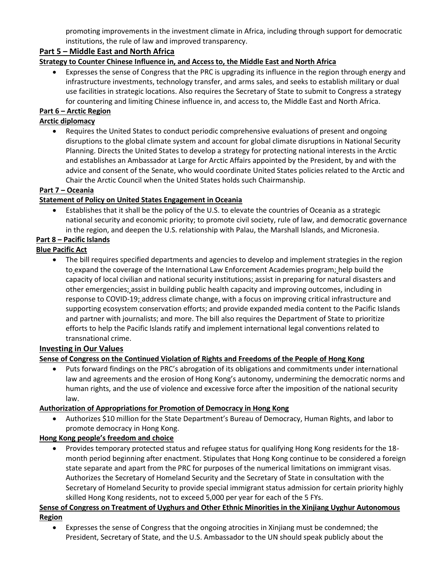promoting improvements in the investment climate in Africa, including through support for democratic institutions, the rule of law and improved transparency.

### **Part 5 – Middle East and North Africa**

### **Strategy to Counter Chinese Influence in, and Access to, the Middle East and North Africa**

• Expresses the sense of Congress that the PRC is upgrading its influence in the region through energy and infrastructure investments, technology transfer, and arms sales, and seeks to establish military or dual use facilities in strategic locations. Also requires the Secretary of State to submit to Congress a strategy for countering and limiting Chinese influence in, and access to, the Middle East and North Africa.

### **Part 6 – Arctic Region**

#### **Arctic diplomacy**

• Requires the United States to conduct periodic comprehensive evaluations of present and ongoing disruptions to the global climate system and account for global climate disruptions in National Security Planning. Directs the United States to develop a strategy for protecting national interests in the Arctic and establishes an Ambassador at Large for Arctic Affairs appointed by the President, by and with the advice and consent of the Senate, who would coordinate United States policies related to the Arctic and Chair the Arctic Council when the United States holds such Chairmanship.

### **Part 7 – Oceania**

#### **Statement of Policy on United States Engagement in Oceania**

• Establishes that it shall be the policy of the U.S. to elevate the countries of Oceania as a strategic national security and economic priority; to promote civil society, rule of law, and democratic governance in the region, and deepen the U.S. relationship with Palau, the Marshall Islands, and Micronesia.

#### **Part 8 – Pacific Islands**

### **Blue Pacific Act**

• The bill requires specified departments and agencies to develop and implement strategies in the region to expand the coverage of the International Law Enforcement Academies program; help build the capacity of local civilian and national security institutions; assist in preparing for natural disasters and other emergencies; assist in building public health capacity and improving outcomes, including in response to COVID-19; address climate change, with a focus on improving critical infrastructure and supporting ecosystem conservation efforts; and provide expanded media content to the Pacific Islands and partner with journalists; and more. The bill also requires the Department of State to prioritize efforts to help the Pacific Islands ratify and implement international legal conventions related to transnational crime.

### **Investing in Our Values**

### **Sense of Congress on the Continued Violation of Rights and Freedoms of the People of Hong Kong**

• Puts forward findings on the PRC's abrogation of its obligations and commitments under international law and agreements and the erosion of Hong Kong's autonomy, undermining the democratic norms and human rights, and the use of violence and excessive force after the imposition of the national security law.

#### **Authorization of Appropriations for Promotion of Democracy in Hong Kong**

• Authorizes \$10 million for the State Department's Bureau of Democracy, Human Rights, and labor to promote democracy in Hong Kong.

#### **Hong Kong people's freedom and choice**

• Provides temporary protected status and refugee status for qualifying Hong Kong residents for the 18 month period beginning after enactment. Stipulates that Hong Kong continue to be considered a foreign state separate and apart from the PRC for purposes of the numerical limitations on immigrant visas. Authorizes the Secretary of Homeland Security and the Secretary of State in consultation with the Secretary of Homeland Security to provide special immigrant status admission for certain priority highly skilled Hong Kong residents, not to exceed 5,000 per year for each of the 5 FYs.

### **Sense of Congress on Treatment of Uyghurs and Other Ethnic Minorities in the Xinjiang Uyghur Autonomous Region**

• Expresses the sense of Congress that the ongoing atrocities in Xinjiang must be condemned; the President, Secretary of State, and the U.S. Ambassador to the UN should speak publicly about the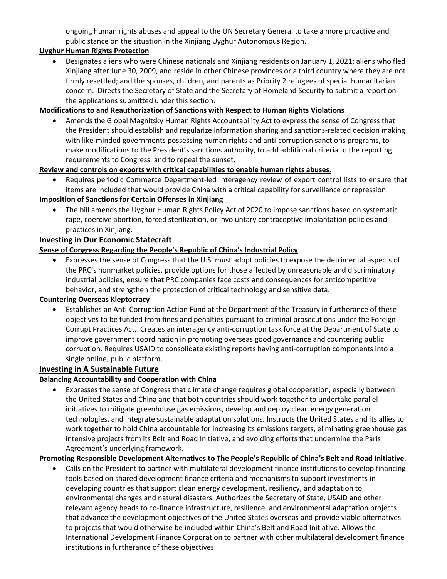ongoing human rights abuses and appeal to the UN Secretary General to take a more proactive and public stance on the situation in the Xinjiang Uyghur Autonomous Region.

### **Uyghur Human Rights Protection**

• Designates aliens who were Chinese nationals and Xinjiang residents on January 1, 2021; aliens who fled Xinjiang after June 30, 2009, and reside in other Chinese provinces or a third country where they are not firmly resettled; and the spouses, children, and parents as Priority 2 refugees of special humanitarian concern. Directs the Secretary of State and the Secretary of Homeland Security to submit a report on the applications submitted under this section.

### **Modifications to and Reauthorization of Sanctions with Respect to Human Rights Violations**

• Amends the Global Magnitsky Human Rights Accountability Act to express the sense of Congress that the President should establish and regularize information sharing and sanctions-related decision making with like-minded governments possessing human rights and anti-corruption sanctions programs, to make modifications to the President's sanctions authority, to add additional criteria to the reporting requirements to Congress, and to repeal the sunset.

### **Review and controls on exports with critical capabilities to enable human rights abuses.**

• Requires periodic Commerce Department-led interagency review of export control lists to ensure that items are included that would provide China with a critical capability for surveillance or repression.

### **Imposition of Sanctions for Certain Offenses in Xinjiang**

• The bill amends the Uyghur Human Rights Policy Act of 2020 to impose sanctions based on systematic rape, coercive abortion, forced sterilization, or involuntary contraceptive implantation policies and practices in Xinjiang.

### **Investing in Our Economic Statecraft**

#### **Sense of Congress Regarding the People's Republic of China's Industrial Policy**

• Expresses the sense of Congress that the U.S. must adopt policies to expose the detrimental aspects of the PRC's nonmarket policies, provide options for those affected by unreasonable and discriminatory industrial policies, ensure that PRC companies face costs and consequences for anticompetitive behavior, and strengthen the protection of critical technology and sensitive data.

#### **Countering Overseas Kleptocracy**

• Establishes an Anti-Corruption Action Fund at the Department of the Treasury in furtherance of these objectives to be funded from fines and penalties pursuant to criminal prosecutions under the Foreign Corrupt Practices Act. Creates an interagency anti-corruption task force at the Department of State to improve government coordination in promoting overseas good governance and countering public corruption. Requires USAID to consolidate existing reports having anti-corruption components into a single online, public platform.

#### **Investing in A Sustainable Future**

#### **Balancing Accountability and Cooperation with China**

• Expresses the sense of Congress that climate change requires global cooperation, especially between the United States and China and that both countries should work together to undertake parallel initiatives to mitigate greenhouse gas emissions, develop and deploy clean energy generation technologies, and integrate sustainable adaptation solutions. Instructs the United States and its allies to work together to hold China accountable for increasing its emissions targets, eliminating greenhouse gas intensive projects from its Belt and Road Initiative, and avoiding efforts that undermine the Paris Agreement's underlying framework.

#### **Promoting Responsible Development Alternatives to The People's Republic of China's Belt and Road Initiative.**

• Calls on the President to partner with multilateral development finance institutions to develop financing tools based on shared development finance criteria and mechanisms to support investments in developing countries that support clean energy development, resiliency, and adaptation to environmental changes and natural disasters. Authorizes the Secretary of State, USAID and other relevant agency heads to co-finance infrastructure, resilience, and environmental adaptation projects that advance the development objectives of the United States overseas and provide viable alternatives to projects that would otherwise be included within China's Belt and Road Initiative. Allows the International Development Finance Corporation to partner with other multilateral development finance institutions in furtherance of these objectives.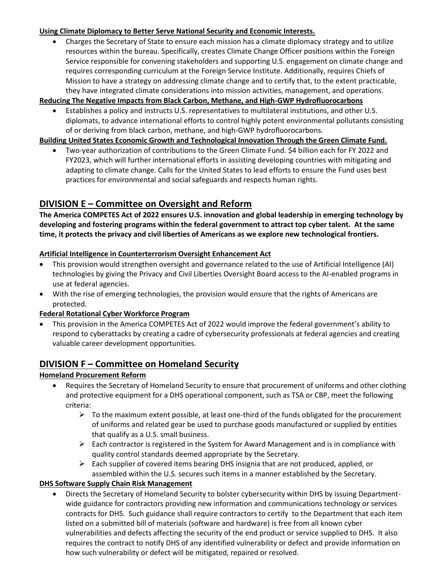### **Using Climate Diplomacy to Better Serve National Security and Economic Interests.**

• Charges the Secretary of State to ensure each mission has a climate diplomacy strategy and to utilize resources within the bureau. Specifically, creates Climate Change Officer positions within the Foreign Service responsible for convening stakeholders and supporting U.S. engagement on climate change and requires corresponding curriculum at the Foreign Service Institute. Additionally, requires Chiefs of Mission to have a strategy on addressing climate change and to certify that, to the extent practicable, they have integrated climate considerations into mission activities, management, and operations.

### **Reducing The Negative Impacts from Black Carbon, Methane, and High-GWP Hydrofluorocarbons**

• Establishes a policy and instructs U.S. representatives to multilateral institutions, and other U.S. diplomats, to advance international efforts to control highly potent environmental pollutants consisting of or deriving from black carbon, methane, and high-GWP hydrofluorocarbons.

### **Building United States Economic Growth and Technological Innovation Through the Green Climate Fund.**

• Two-year authorization of contributions to the Green Climate Fund. \$4 billion each for FY 2022 and FY2023, which will further international efforts in assisting developing countries with mitigating and adapting to climate change. Calls for the United States to lead efforts to ensure the Fund uses best practices for environmental and social safeguards and respects human rights.

# **DIVISION E – Committee on Oversight and Reform**

**The America COMPETES Act of 2022 ensures U.S. innovation and global leadership in emerging technology by developing and fostering programs within the federal government to attract top cyber talent. At the same time, it protects the privacy and civil liberties of Americans as we explore new technological frontiers.** 

#### **Artificial Intelligence in Counterterrorism Oversight Enhancement Act**

- This provision would strengthen oversight and governance related to the use of Artificial Intelligence (AI) technologies by giving the Privacy and Civil Liberties Oversight Board access to the AI-enabled programs in use at federal agencies.
- With the rise of emerging technologies, the provision would ensure that the rights of Americans are protected.

### **Federal Rotational Cyber Workforce Program**

• This provision in the America COMPETES Act of 2022 would improve the federal government's ability to respond to cyberattacks by creating a cadre of cybersecurity professionals at federal agencies and creating valuable career development opportunities.

### **DIVISION F – Committee on Homeland Security**

#### **Homeland Procurement Reform**

- Requires the Secretary of Homeland Security to ensure that procurement of uniforms and other clothing and protective equipment for a DHS operational component, such as TSA or CBP, meet the following criteria:
	- $\triangleright$  To the maximum extent possible, at least one-third of the funds obligated for the procurement of uniforms and related gear be used to purchase goods manufactured or supplied by entities that qualify as a U.S. small business.
	- $\triangleright$  Each contractor is registered in the System for Award Management and is in compliance with quality control standards deemed appropriate by the Secretary.
	- $\triangleright$  Each supplier of covered items bearing DHS insignia that are not produced, applied, or assembled within the U.S. secures such items in a manner established by the Secretary.

#### **DHS Software Supply Chain Risk Management**

• Directs the Secretary of Homeland Security to bolster cybersecurity within DHS by issuing Departmentwide guidance for contractors providing new information and communications technology or services contracts for DHS. Such guidance shall require contractors to certify to the Department that each item listed on a submitted bill of materials (software and hardware) is free from all known cyber vulnerabilities and defects affecting the security of the end product or service supplied to DHS. It also requires the contract to notify DHS of any identified vulnerability or defect and provide information on how such vulnerability or defect will be mitigated, repaired or resolved.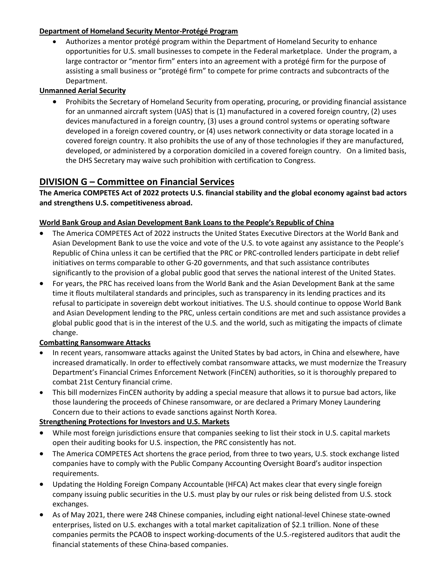### **Department of Homeland Security Mentor-Protégé Program**

• Authorizes a mentor protégé program within the Department of Homeland Security to enhance opportunities for U.S. small businesses to compete in the Federal marketplace. Under the program, a large contractor or "mentor firm" enters into an agreement with a protégé firm for the purpose of assisting a small business or "protégé firm" to compete for prime contracts and subcontracts of the Department.

### **Unmanned Aerial Security**

• Prohibits the Secretary of Homeland Security from operating, procuring, or providing financial assistance for an unmanned aircraft system (UAS) that is (1) manufactured in a covered foreign country, (2) uses devices manufactured in a foreign country, (3) uses a ground control systems or operating software developed in a foreign covered country, or (4) uses network connectivity or data storage located in a covered foreign country. It also prohibits the use of any of those technologies if they are manufactured, developed, or administered by a corporation domiciled in a covered foreign country. On a limited basis, the DHS Secretary may waive such prohibition with certification to Congress.

# **DIVISION G – Committee on Financial Services**

**The America COMPETES Act of 2022 protects U.S. financial stability and the global economy against bad actors and strengthens U.S. competitiveness abroad.** 

### **World Bank Group and Asian Development Bank Loans to the People's Republic of China**

- The America COMPETES Act of 2022 instructs the United States Executive Directors at the World Bank and Asian Development Bank to use the voice and vote of the U.S. to vote against any assistance to the People's Republic of China unless it can be certified that the PRC or PRC-controlled lenders participate in debt relief initiatives on terms comparable to other G-20 governments, and that such assistance contributes significantly to the provision of a global public good that serves the national interest of the United States.
- For years, the PRC has received loans from the World Bank and the Asian Development Bank at the same time it flouts multilateral standards and principles, such as transparency in its lending practices and its refusal to participate in sovereign debt workout initiatives. The U.S. should continue to oppose World Bank and Asian Development lending to the PRC, unless certain conditions are met and such assistance provides a global public good that is in the interest of the U.S. and the world, such as mitigating the impacts of climate change.

### **Combatting Ransomware Attacks**

- In recent years, ransomware attacks against the United States by bad actors, in China and elsewhere, have increased dramatically. In order to effectively combat ransomware attacks, we must modernize the Treasury Department's Financial Crimes Enforcement Network (FinCEN) authorities, so it is thoroughly prepared to combat 21st Century financial crime.
- This bill modernizes FinCEN authority by adding a special measure that allows it to pursue bad actors, like those laundering the proceeds of Chinese ransomware, or are declared a Primary Money Laundering Concern due to their actions to evade sanctions against North Korea.

### **Strengthening Protections for Investors and U.S. Markets**

- While most foreign jurisdictions ensure that companies seeking to list their stock in U.S. capital markets open their auditing books for U.S. inspection, the PRC consistently has not.
- The America COMPETES Act shortens the grace period, from three to two years, U.S. stock exchange listed companies have to comply with the Public Company Accounting Oversight Board's auditor inspection requirements.
- Updating the Holding Foreign Company Accountable (HFCA) Act makes clear that every single foreign company issuing public securities in the U.S. must play by our rules or risk being delisted from U.S. stock exchanges.
- As of May 2021, there were 248 Chinese companies, including eight national-level Chinese state-owned enterprises, listed on U.S. exchanges with a total market capitalization of \$2.1 trillion. None of these companies permits the PCAOB to inspect working-documents of the U.S.-registered auditors that audit the financial statements of these China-based companies.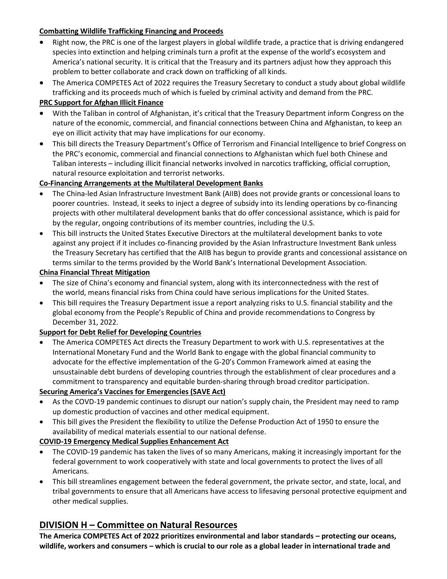### **Combatting Wildlife Trafficking Financing and Proceeds**

- Right now, the PRC is one of the largest players in global wildlife trade, a practice that is driving endangered species into extinction and helping criminals turn a profit at the expense of the world's ecosystem and America's national security. It is critical that the Treasury and its partners adjust how they approach this problem to better collaborate and crack down on trafficking of all kinds.
- The America COMPETES Act of 2022 requires the Treasury Secretary to conduct a study about global wildlife trafficking and its proceeds much of which is fueled by criminal activity and demand from the PRC.

### **PRC Support for Afghan Illicit Finance**

- With the Taliban in control of Afghanistan, it's critical that the Treasury Department inform Congress on the nature of the economic, commercial, and financial connections between China and Afghanistan, to keep an eye on illicit activity that may have implications for our economy.
- This bill directs the Treasury Department's Office of Terrorism and Financial Intelligence to brief Congress on the PRC's economic, commercial and financial connections to Afghanistan which fuel both Chinese and Taliban interests – including illicit financial networks involved in narcotics trafficking, official corruption, natural resource exploitation and terrorist networks.

### **Co-Financing Arrangements at the Multilateral Development Banks**

- The China-led Asian Infrastructure Investment Bank (AIIB) does not provide grants or concessional loans to poorer countries. Instead, it seeks to inject a degree of subsidy into its lending operations by co-financing projects with other multilateral development banks that do offer concessional assistance, which is paid for by the regular, ongoing contributions of its member countries, including the U.S.
- This bill instructs the United States Executive Directors at the multilateral development banks to vote against any project if it includes co-financing provided by the Asian Infrastructure Investment Bank unless the Treasury Secretary has certified that the AIIB has begun to provide grants and concessional assistance on terms similar to the terms provided by the World Bank's International Development Association.

### **China Financial Threat Mitigation**

- The size of China's economy and financial system, along with its interconnectedness with the rest of the world, means financial risks from China could have serious implications for the United States.
- This bill requires the Treasury Department issue a report analyzing risks to U.S. financial stability and the global economy from the People's Republic of China and provide recommendations to Congress by December 31, 2022.

### **Support for Debt Relief for Developing Countries**

• The America COMPETES Act directs the Treasury Department to work with U.S. representatives at the International Monetary Fund and the World Bank to engage with the global financial community to advocate for the effective implementation of the G-20's Common Framework aimed at easing the unsustainable debt burdens of developing countries through the establishment of clear procedures and a commitment to transparency and equitable burden-sharing through broad creditor participation.

### **Securing America's Vaccines for Emergencies (SAVE Act)**

- As the COVD-19 pandemic continues to disrupt our nation's supply chain, the President may need to ramp up domestic production of vaccines and other medical equipment.
- This bill gives the President the flexibility to utilize the Defense Production Act of 1950 to ensure the availability of medical materials essential to our national defense.

### **COVID-19 Emergency Medical Supplies Enhancement Act**

- The COVID-19 pandemic has taken the lives of so many Americans, making it increasingly important for the federal government to work cooperatively with state and local governments to protect the lives of all Americans.
- This bill streamlines engagement between the federal government, the private sector, and state, local, and tribal governments to ensure that all Americans have access to lifesaving personal protective equipment and other medical supplies.

# **DIVISION H – Committee on Natural Resources**

**The America COMPETES Act of 2022 prioritizes environmental and labor standards – protecting our oceans, wildlife, workers and consumers – which is crucial to our role as a global leader in international trade and**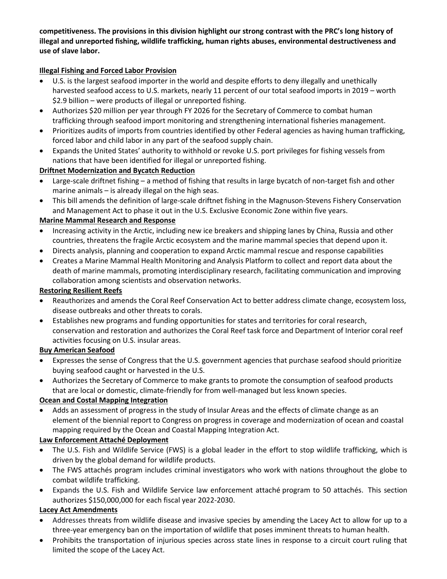**competitiveness. The provisions in this division highlight our strong contrast with the PRC's long history of illegal and unreported fishing, wildlife trafficking, human rights abuses, environmental destructiveness and use of slave labor.** 

### **Illegal Fishing and Forced Labor Provision**

- U.S. is the largest seafood importer in the world and despite efforts to deny illegally and unethically harvested seafood access to U.S. markets, nearly 11 percent of our total seafood imports in 2019 – worth \$2.9 billion – were products of illegal or unreported fishing.
- Authorizes \$20 million per year through FY 2026 for the Secretary of Commerce to combat human trafficking through seafood import monitoring and strengthening international fisheries management.
- Prioritizes audits of imports from countries identified by other Federal agencies as having human trafficking, forced labor and child labor in any part of the seafood supply chain.
- Expands the United States' authority to withhold or revoke U.S. port privileges for fishing vessels from nations that have been identified for illegal or unreported fishing.

### **Driftnet Modernization and Bycatch Reduction**

- Large-scale driftnet fishing a method of fishing that results in large bycatch of non-target fish and other marine animals – is already illegal on the high seas.
- This bill amends the definition of large-scale driftnet fishing in the Magnuson-Stevens Fishery Conservation and Management Act to phase it out in the U.S. Exclusive Economic Zone within five years.

### **Marine Mammal Research and Response**

- Increasing activity in the Arctic, including new ice breakers and shipping lanes by China, Russia and other countries, threatens the fragile Arctic ecosystem and the marine mammal species that depend upon it.
- Directs analysis, planning and cooperation to expand Arctic mammal rescue and response capabilities
- Creates a Marine Mammal Health Monitoring and Analysis Platform to collect and report data about the death of marine mammals, promoting interdisciplinary research, facilitating communication and improving collaboration among scientists and observation networks.

### **Restoring Resilient Reefs**

- Reauthorizes and amends the Coral Reef Conservation Act to better address climate change, ecosystem loss, disease outbreaks and other threats to corals.
- Establishes new programs and funding opportunities for states and territories for coral research, conservation and restoration and authorizes the Coral Reef task force and Department of Interior coral reef activities focusing on U.S. insular areas.

### **Buy American Seafood**

- Expresses the sense of Congress that the U.S. government agencies that purchase seafood should prioritize buying seafood caught or harvested in the U.S.
- Authorizes the Secretary of Commerce to make grants to promote the consumption of seafood products that are local or domestic, climate-friendly for from well-managed but less known species.

### **Ocean and Costal Mapping Integration**

• Adds an assessment of progress in the study of Insular Areas and the effects of climate change as an element of the biennial report to Congress on progress in coverage and modernization of ocean and coastal mapping required by the Ocean and Coastal Mapping Integration Act.

### **Law Enforcement Attaché Deployment**

- The U.S. Fish and Wildlife Service (FWS) is a global leader in the effort to stop wildlife trafficking, which is driven by the global demand for wildlife products.
- The FWS attachés program includes criminal investigators who work with nations throughout the globe to combat wildlife trafficking.
- Expands the U.S. Fish and Wildlife Service law enforcement attaché program to 50 attachés. This section authorizes \$150,000,000 for each fiscal year 2022-2030.

### **Lacey Act Amendments**

- Addresses threats from wildlife disease and invasive species by amending the Lacey Act to allow for up to a three-year emergency ban on the importation of wildlife that poses imminent threats to human health.
- Prohibits the transportation of injurious species across state lines in response to a circuit court ruling that limited the scope of the Lacey Act.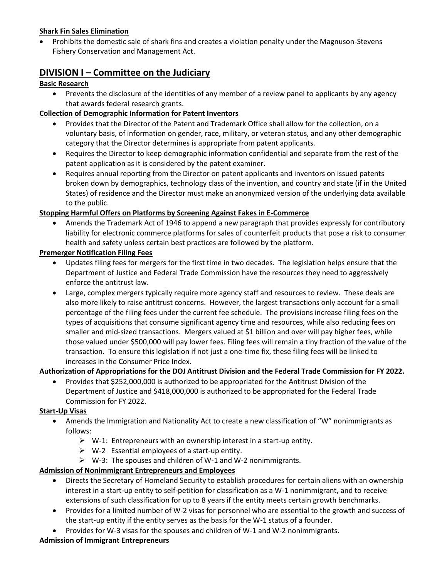### **Shark Fin Sales Elimination**

• Prohibits the domestic sale of shark fins and creates a violation penalty under the Magnuson-Stevens Fishery Conservation and Management Act.

# **DIVISION I – Committee on the Judiciary**

### **Basic Research**

• Prevents the disclosure of the identities of any member of a review panel to applicants by any agency that awards federal research grants.

### **Collection of Demographic Information for Patent Inventors**

- Provides that the Director of the Patent and Trademark Office shall allow for the collection, on a voluntary basis, of information on gender, race, military, or veteran status, and any other demographic category that the Director determines is appropriate from patent applicants.
- Requires the Director to keep demographic information confidential and separate from the rest of the patent application as it is considered by the patent examiner.
- Requires annual reporting from the Director on patent applicants and inventors on issued patents broken down by demographics, technology class of the invention, and country and state (if in the United States) of residence and the Director must make an anonymized version of the underlying data available to the public.

### **Stopping Harmful Offers on Platforms by Screening Against Fakes in E-Commerce**

• Amends the Trademark Act of 1946 to append a new paragraph that provides expressly for contributory liability for electronic commerce platforms for sales of counterfeit products that pose a risk to consumer health and safety unless certain best practices are followed by the platform.

### **Premerger Notification Filing Fees**

- Updates filing fees for mergers for the first time in two decades. The legislation helps ensure that the Department of Justice and Federal Trade Commission have the resources they need to aggressively enforce the antitrust law.
- Large, complex mergers typically require more agency staff and resources to review. These deals are also more likely to raise antitrust concerns. However, the largest transactions only account for a small percentage of the filing fees under the current fee schedule. The provisions increase filing fees on the types of acquisitions that consume significant agency time and resources, while also reducing fees on smaller and mid-sized transactions. Mergers valued at \$1 billion and over will pay higher fees, while those valued under \$500,000 will pay lower fees. Filing fees will remain a tiny fraction of the value of the transaction. To ensure this legislation if not just a one-time fix, these filing fees will be linked to increases in the Consumer Price Index.

### **Authorization of Appropriations for the DOJ Antitrust Division and the Federal Trade Commission for FY 2022.**

• Provides that \$252,000,000 is authorized to be appropriated for the Antitrust Division of the Department of Justice and \$418,000,000 is authorized to be appropriated for the Federal Trade Commission for FY 2022.

### **Start-Up Visas**

- Amends the Immigration and Nationality Act to create a new classification of "W" nonimmigrants as follows:
	- $\triangleright$  W-1: Entrepreneurs with an ownership interest in a start-up entity.
	- $\triangleright$  W-2 Essential employees of a start-up entity.
	- $\triangleright$  W-3: The spouses and children of W-1 and W-2 nonimmigrants.

### **Admission of Nonimmigrant Entrepreneurs and Employees**

- Directs the Secretary of Homeland Security to establish procedures for certain aliens with an ownership interest in a start-up entity to self-petition for classification as a W-1 nonimmigrant, and to receive extensions of such classification for up to 8 years if the entity meets certain growth benchmarks.
- Provides for a limited number of W-2 visas for personnel who are essential to the growth and success of the start-up entity if the entity serves as the basis for the W-1 status of a founder.
- Provides for W-3 visas for the spouses and children of W-1 and W-2 nonimmigrants.

### **Admission of Immigrant Entrepreneurs**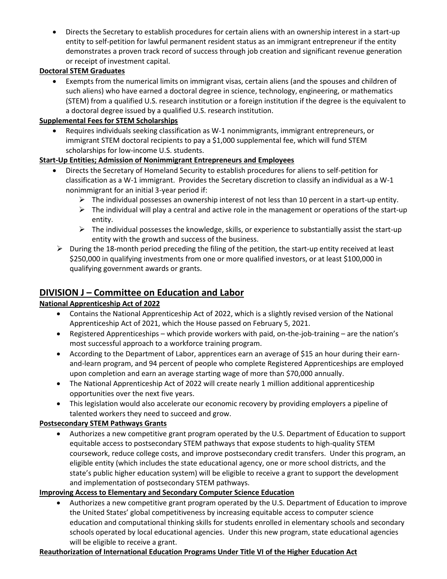• Directs the Secretary to establish procedures for certain aliens with an ownership interest in a start-up entity to self-petition for lawful permanent resident status as an immigrant entrepreneur if the entity demonstrates a proven track record of success through job creation and significant revenue generation or receipt of investment capital.

### **Doctoral STEM Graduates**

• Exempts from the numerical limits on immigrant visas, certain aliens (and the spouses and children of such aliens) who have earned a doctoral degree in science, technology, engineering, or mathematics (STEM) from a qualified U.S. research institution or a foreign institution if the degree is the equivalent to a doctoral degree issued by a qualified U.S. research institution.

### **Supplemental Fees for STEM Scholarships**

• Requires individuals seeking classification as W-1 nonimmigrants, immigrant entrepreneurs, or immigrant STEM doctoral recipients to pay a \$1,000 supplemental fee, which will fund STEM scholarships for low-income U.S. students.

### **Start-Up Entities; Admission of Nonimmigrant Entrepreneurs and Employees**

- Directs the Secretary of Homeland Security to establish procedures for aliens to self-petition for classification as a W-1 immigrant. Provides the Secretary discretion to classify an individual as a W-1 nonimmigrant for an initial 3-year period if:
	- $\triangleright$  The individual possesses an ownership interest of not less than 10 percent in a start-up entity.
	- $\triangleright$  The individual will play a central and active role in the management or operations of the start-up entity.
	- $\triangleright$  The individual possesses the knowledge, skills, or experience to substantially assist the start-up entity with the growth and success of the business.
- $\triangleright$  During the 18-month period preceding the filing of the petition, the start-up entity received at least \$250,000 in qualifying investments from one or more qualified investors, or at least \$100,000 in qualifying government awards or grants.

# **DIVISION J – Committee on Education and Labor**

### **National Apprenticeship Act of 2022**

- Contains the National Apprenticeship Act of 2022, which is a slightly revised version of the National Apprenticeship Act of 2021, which the House passed on February 5, 2021.
- Registered Apprenticeships which provide workers with paid, on-the-job-training are the nation's most successful approach to a workforce training program.
- According to the Department of Labor, apprentices earn an average of \$15 an hour during their earnand-learn program, and 94 percent of people who complete Registered Apprenticeships are employed upon completion and earn an average starting wage of more than \$70,000 annually.
- The National Apprenticeship Act of 2022 will create nearly 1 million additional apprenticeship opportunities over the next five years.
- This legislation would also accelerate our economic recovery by providing employers a pipeline of talented workers they need to succeed and grow.

### **Postsecondary STEM Pathways Grants**

• Authorizes a new competitive grant program operated by the U.S. Department of Education to support equitable access to postsecondary STEM pathways that expose students to high-quality STEM coursework, reduce college costs, and improve postsecondary credit transfers. Under this program, an eligible entity (which includes the state educational agency, one or more school districts, and the state's public higher education system) will be eligible to receive a grant to support the development and implementation of postsecondary STEM pathways.

### **Improving Access to Elementary and Secondary Computer Science Education**

• Authorizes a new competitive grant program operated by the U.S. Department of Education to improve the United States' global competitiveness by increasing equitable access to computer science education and computational thinking skills for students enrolled in elementary schools and secondary schools operated by local educational agencies. Under this new program, state educational agencies will be eligible to receive a grant.

### **Reauthorization of International Education Programs Under Title VI of the Higher Education Act**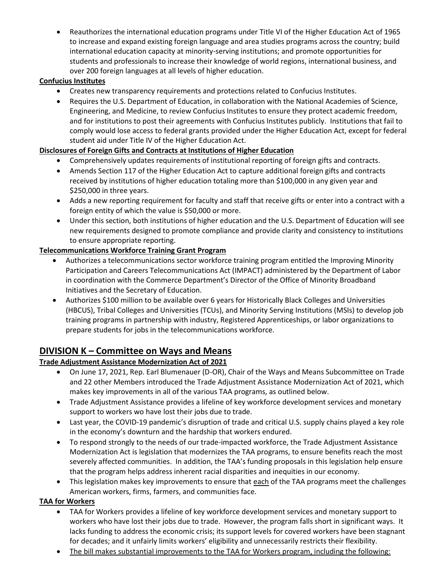• Reauthorizes the international education programs under Title VI of the Higher Education Act of 1965 to increase and expand existing foreign language and area studies programs across the country; build international education capacity at minority-serving institutions; and promote opportunities for students and professionals to increase their knowledge of world regions, international business, and over 200 foreign languages at all levels of higher education.

### **Confucius Institutes**

- Creates new transparency requirements and protections related to Confucius Institutes.
- Requires the U.S. Department of Education, in collaboration with the National Academies of Science, Engineering, and Medicine, to review Confucius Institutes to ensure they protect academic freedom, and for institutions to post their agreements with Confucius Institutes publicly. Institutions that fail to comply would lose access to federal grants provided under the Higher Education Act, except for federal student aid under Title IV of the Higher Education Act.

### **Disclosures of Foreign Gifts and Contracts at Institutions of Higher Education**

- Comprehensively updates requirements of institutional reporting of foreign gifts and contracts.
- Amends Section 117 of the Higher Education Act to capture additional foreign gifts and contracts received by institutions of higher education totaling more than \$100,000 in any given year and \$250,000 in three years.
- Adds a new reporting requirement for faculty and staff that receive gifts or enter into a contract with a foreign entity of which the value is \$50,000 or more.
- Under this section, both institutions of higher education and the U.S. Department of Education will see new requirements designed to promote compliance and provide clarity and consistency to institutions to ensure appropriate reporting.

### **Telecommunications Workforce Training Grant Program**

- Authorizes a telecommunications sector workforce training program entitled the Improving Minority Participation and Careers Telecommunications Act (IMPACT) administered by the Department of Labor in coordination with the Commerce Department's Director of the Office of Minority Broadband Initiatives and the Secretary of Education.
- Authorizes \$100 million to be available over 6 years for Historically Black Colleges and Universities (HBCUS), Tribal Colleges and Universities (TCUs), and Minority Serving Institutions (MSIs) to develop job training programs in partnership with industry, Registered Apprenticeships, or labor organizations to prepare students for jobs in the telecommunications workforce.

# **DIVISION K – Committee on Ways and Means**

### **Trade Adjustment Assistance Modernization Act of 2021**

- On June 17, 2021, Rep. Earl Blumenauer (D-OR), Chair of the Ways and Means Subcommittee on Trade and 22 other Members introduced the Trade Adjustment Assistance Modernization Act of 2021, which makes key improvements in all of the various TAA programs, as outlined below.
- Trade Adjustment Assistance provides a lifeline of key workforce development services and monetary support to workers wo have lost their jobs due to trade.
- Last year, the COVID-19 pandemic's disruption of trade and critical U.S. supply chains played a key role in the economy's downturn and the hardship that workers endured.
- To respond strongly to the needs of our trade-impacted workforce, the Trade Adjustment Assistance Modernization Act is legislation that modernizes the TAA programs, to ensure benefits reach the most severely affected communities. In addition, the TAA's funding proposals in this legislation help ensure that the program helps address inherent racial disparities and inequities in our economy.
- This legislation makes key improvements to ensure that each of the TAA programs meet the challenges American workers, firms, farmers, and communities face.

### **TAA for Workers**

- TAA for Workers provides a lifeline of key workforce development services and monetary support to workers who have lost their jobs due to trade. However, the program falls short in significant ways. It lacks funding to address the economic crisis; its support levels for covered workers have been stagnant for decades; and it unfairly limits workers' eligibility and unnecessarily restricts their flexibility.
- The bill makes substantial improvements to the TAA for Workers program, including the following: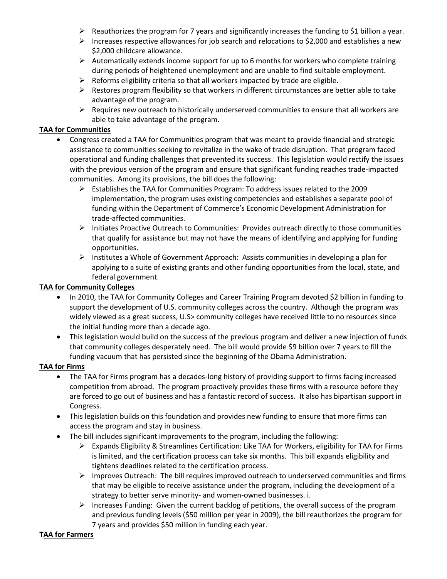- $\triangleright$  Reauthorizes the program for 7 years and significantly increases the funding to \$1 billion a year.
- $\triangleright$  Increases respective allowances for job search and relocations to \$2,000 and establishes a new \$2,000 childcare allowance.
- $\triangleright$  Automatically extends income support for up to 6 months for workers who complete training during periods of heightened unemployment and are unable to find suitable employment.
- $\triangleright$  Reforms eligibility criteria so that all workers impacted by trade are eligible.
- $\triangleright$  Restores program flexibility so that workers in different circumstances are better able to take advantage of the program.
- $\triangleright$  Requires new outreach to historically underserved communities to ensure that all workers are able to take advantage of the program.

#### **TAA for Communities**

- Congress created a TAA for Communities program that was meant to provide financial and strategic assistance to communities seeking to revitalize in the wake of trade disruption. That program faced operational and funding challenges that prevented its success. This legislation would rectify the issues with the previous version of the program and ensure that significant funding reaches trade-impacted communities. Among its provisions, the bill does the following:
	- ➢ Establishes the TAA for Communities Program: To address issues related to the 2009 implementation, the program uses existing competencies and establishes a separate pool of funding within the Department of Commerce's Economic Development Administration for trade-affected communities.
	- $\triangleright$  Initiates Proactive Outreach to Communities: Provides outreach directly to those communities that qualify for assistance but may not have the means of identifying and applying for funding opportunities.
	- ➢ Institutes a Whole of Government Approach: Assists communities in developing a plan for applying to a suite of existing grants and other funding opportunities from the local, state, and federal government.

#### **TAA for Community Colleges**

- In 2010, the TAA for Community Colleges and Career Training Program devoted \$2 billion in funding to support the development of U.S. community colleges across the country. Although the program was widely viewed as a great success, U.S> community colleges have received little to no resources since the initial funding more than a decade ago.
- This legislation would build on the success of the previous program and deliver a new injection of funds that community colleges desperately need. The bill would provide \$9 billion over 7 years to fill the funding vacuum that has persisted since the beginning of the Obama Administration.

#### **TAA for Firms**

- The TAA for Firms program has a decades-long history of providing support to firms facing increased competition from abroad. The program proactively provides these firms with a resource before they are forced to go out of business and has a fantastic record of success. It also has bipartisan support in Congress.
- This legislation builds on this foundation and provides new funding to ensure that more firms can access the program and stay in business.
- The bill includes significant improvements to the program, including the following:
	- $\triangleright$  Expands Eligibility & Streamlines Certification: Like TAA for Workers, eligibility for TAA for Firms is limited, and the certification process can take six months. This bill expands eligibility and tightens deadlines related to the certification process.
	- ➢ Improves Outreach: The bill requires improved outreach to underserved communities and firms that may be eligible to receive assistance under the program, including the development of a strategy to better serve minority- and women-owned businesses. i.
	- $\triangleright$  Increases Funding: Given the current backlog of petitions, the overall success of the program and previous funding levels (\$50 million per year in 2009), the bill reauthorizes the program for 7 years and provides \$50 million in funding each year.

#### **TAA for Farmers**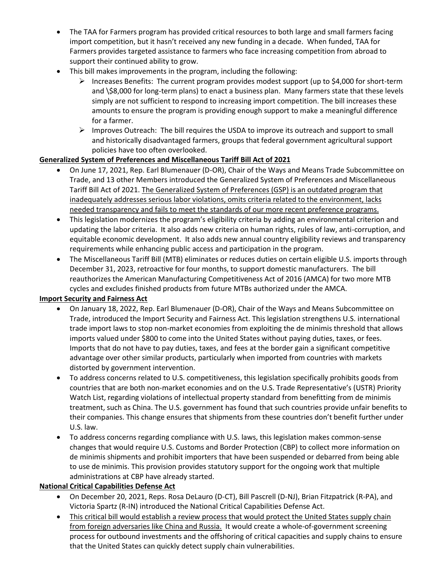- The TAA for Farmers program has provided critical resources to both large and small farmers facing import competition, but it hasn't received any new funding in a decade. When funded, TAA for Farmers provides targeted assistance to farmers who face increasing competition from abroad to support their continued ability to grow.
- This bill makes improvements in the program, including the following:
	- $\triangleright$  Increases Benefits: The current program provides modest support (up to \$4,000 for short-term and \\$8,000 for long-term plans) to enact a business plan. Many farmers state that these levels simply are not sufficient to respond to increasing import competition. The bill increases these amounts to ensure the program is providing enough support to make a meaningful difference for a farmer.
	- $\triangleright$  Improves Outreach: The bill requires the USDA to improve its outreach and support to small and historically disadvantaged farmers, groups that federal government agricultural support policies have too often overlooked.

### **Generalized System of Preferences and Miscellaneous Tariff Bill Act of 2021**

- On June 17, 2021, Rep. Earl Blumenauer (D-OR), Chair of the Ways and Means Trade Subcommittee on Trade, and 13 other Members introduced the Generalized System of Preferences and Miscellaneous Tariff Bill Act of 2021. The Generalized System of Preferences (GSP) is an outdated program that inadequately addresses serious labor violations, omits criteria related to the environment, lacks needed transparency and fails to meet the standards of our more recent preference programs.
- This legislation modernizes the program's eligibility criteria by adding an environmental criterion and updating the labor criteria. It also adds new criteria on human rights, rules of law, anti-corruption, and equitable economic development. It also adds new annual country eligibility reviews and transparency requirements while enhancing public access and participation in the program.
- The Miscellaneous Tariff Bill (MTB) eliminates or reduces duties on certain eligible U.S. imports through December 31, 2023, retroactive for four months, to support domestic manufacturers. The bill reauthorizes the American Manufacturing Competitiveness Act of 2016 (AMCA) for two more MTB cycles and excludes finished products from future MTBs authorized under the AMCA.

### **Import Security and Fairness Act**

- On January 18, 2022, Rep. Earl Blumenauer (D-OR), Chair of the Ways and Means Subcommittee on Trade, introduced the Import Security and Fairness Act. This legislation strengthens U.S. international trade import laws to stop non-market economies from exploiting the de minimis threshold that allows imports valued under \$800 to come into the United States without paying duties, taxes, or fees. Imports that do not have to pay duties, taxes, and fees at the border gain a significant competitive advantage over other similar products, particularly when imported from countries with markets distorted by government intervention.
- To address concerns related to U.S. competitiveness, this legislation specifically prohibits goods from countries that are both non-market economies and on the U.S. Trade Representative's (USTR) Priority Watch List, regarding violations of intellectual property standard from benefitting from de minimis treatment, such as China. The U.S. government has found that such countries provide unfair benefits to their companies. This change ensures that shipments from these countries don't benefit further under U.S. law.
- To address concerns regarding compliance with U.S. laws, this legislation makes common-sense changes that would require U.S. Customs and Border Protection (CBP) to collect more information on de minimis shipments and prohibit importers that have been suspended or debarred from being able to use de minimis. This provision provides statutory support for the ongoing work that multiple administrations at CBP have already started.

### **National Critical Capabilities Defense Act**

- On December 20, 2021, Reps. Rosa DeLauro (D-CT), Bill Pascrell (D-NJ), Brian Fitzpatrick (R-PA), and Victoria Spartz (R-IN) introduced the National Critical Capabilities Defense Act.
- This critical bill would establish a review process that would protect the United States supply chain from foreign adversaries like China and Russia. It would create a whole-of-government screening process for outbound investments and the offshoring of critical capacities and supply chains to ensure that the United States can quickly detect supply chain vulnerabilities.